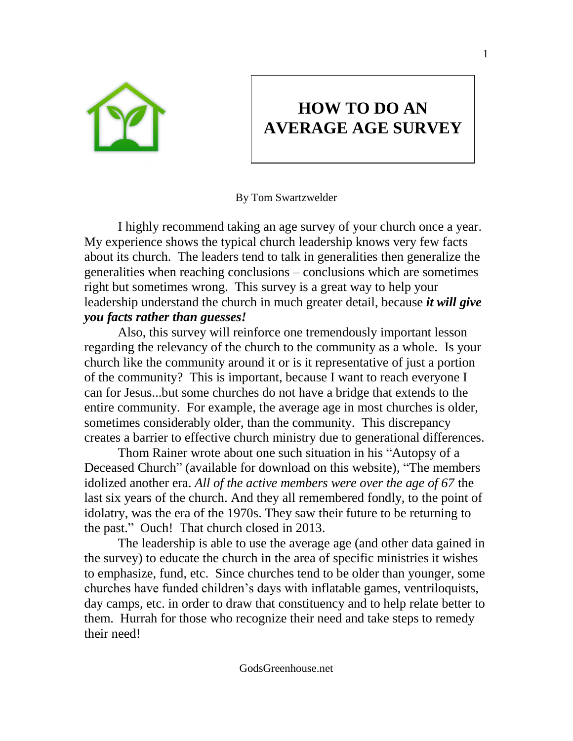

## **HOW TO DO AN AVERAGE AGE SURVEY**

By Tom Swartzwelder

I highly recommend taking an age survey of your church once a year. My experience shows the typical church leadership knows very few facts about its church. The leaders tend to talk in generalities then generalize the generalities when reaching conclusions – conclusions which are sometimes right but sometimes wrong. This survey is a great way to help your leadership understand the church in much greater detail, because *it will give you facts rather than guesses!* 

Also, this survey will reinforce one tremendously important lesson regarding the relevancy of the church to the community as a whole. Is your church like the community around it or is it representative of just a portion of the community? This is important, because I want to reach everyone I can for Jesus...but some churches do not have a bridge that extends to the entire community. For example, the average age in most churches is older, sometimes considerably older, than the community. This discrepancy creates a barrier to effective church ministry due to generational differences.

Thom Rainer wrote about one such situation in his "Autopsy of a Deceased Church" (available for download on this website), "The members idolized another era. *All of the active members were over the age of 67* the last six years of the church. And they all remembered fondly, to the point of idolatry, was the era of the 1970s. They saw their future to be returning to the past." Ouch! That church closed in 2013.

The leadership is able to use the average age (and other data gained in the survey) to educate the church in the area of specific ministries it wishes to emphasize, fund, etc. Since churches tend to be older than younger, some churches have funded children's days with inflatable games, ventriloquists, day camps, etc. in order to draw that constituency and to help relate better to them. Hurrah for those who recognize their need and take steps to remedy their need!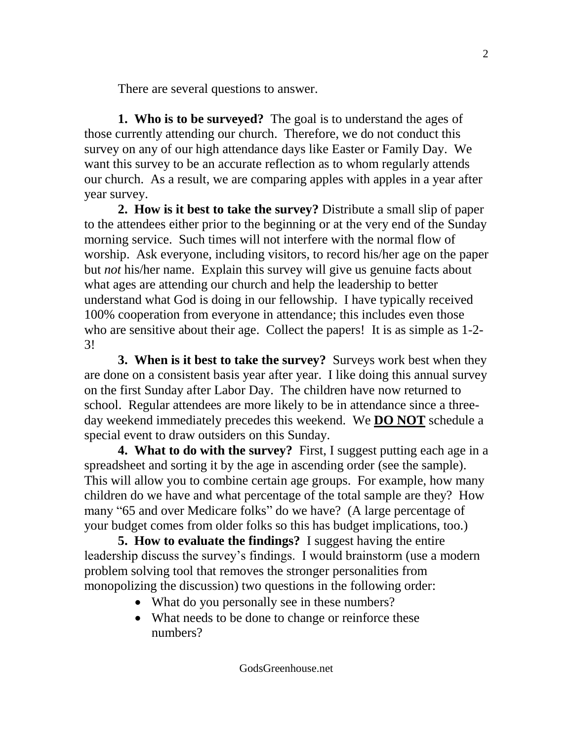There are several questions to answer.

**1. Who is to be surveyed?** The goal is to understand the ages of those currently attending our church. Therefore, we do not conduct this survey on any of our high attendance days like Easter or Family Day. We want this survey to be an accurate reflection as to whom regularly attends our church. As a result, we are comparing apples with apples in a year after year survey.

**2. How is it best to take the survey?** Distribute a small slip of paper to the attendees either prior to the beginning or at the very end of the Sunday morning service. Such times will not interfere with the normal flow of worship. Ask everyone, including visitors, to record his/her age on the paper but *not* his/her name. Explain this survey will give us genuine facts about what ages are attending our church and help the leadership to better understand what God is doing in our fellowship. I have typically received 100% cooperation from everyone in attendance; this includes even those who are sensitive about their age. Collect the papers! It is as simple as 1-2- 3!

**3. When is it best to take the survey?** Surveys work best when they are done on a consistent basis year after year. I like doing this annual survey on the first Sunday after Labor Day. The children have now returned to school. Regular attendees are more likely to be in attendance since a threeday weekend immediately precedes this weekend. We **DO NOT** schedule a special event to draw outsiders on this Sunday.

**4. What to do with the survey?** First, I suggest putting each age in a spreadsheet and sorting it by the age in ascending order (see the sample). This will allow you to combine certain age groups. For example, how many children do we have and what percentage of the total sample are they? How many "65 and over Medicare folks" do we have? (A large percentage of your budget comes from older folks so this has budget implications, too.)

**5. How to evaluate the findings?** I suggest having the entire leadership discuss the survey's findings. I would brainstorm (use a modern problem solving tool that removes the stronger personalities from monopolizing the discussion) two questions in the following order:

- What do you personally see in these numbers?
- What needs to be done to change or reinforce these numbers?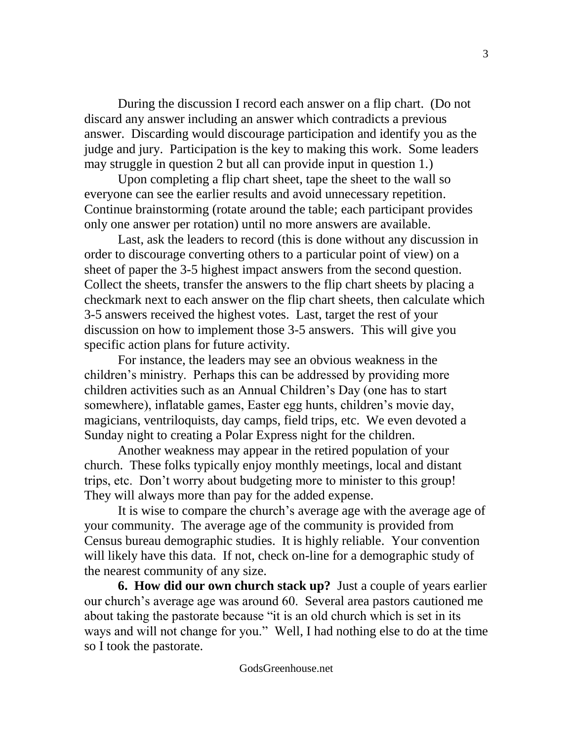During the discussion I record each answer on a flip chart. (Do not discard any answer including an answer which contradicts a previous answer. Discarding would discourage participation and identify you as the judge and jury. Participation is the key to making this work. Some leaders may struggle in question 2 but all can provide input in question 1.)

Upon completing a flip chart sheet, tape the sheet to the wall so everyone can see the earlier results and avoid unnecessary repetition. Continue brainstorming (rotate around the table; each participant provides only one answer per rotation) until no more answers are available.

Last, ask the leaders to record (this is done without any discussion in order to discourage converting others to a particular point of view) on a sheet of paper the 3-5 highest impact answers from the second question. Collect the sheets, transfer the answers to the flip chart sheets by placing a checkmark next to each answer on the flip chart sheets, then calculate which 3-5 answers received the highest votes. Last, target the rest of your discussion on how to implement those 3-5 answers. This will give you specific action plans for future activity.

For instance, the leaders may see an obvious weakness in the children's ministry. Perhaps this can be addressed by providing more children activities such as an Annual Children's Day (one has to start somewhere), inflatable games, Easter egg hunts, children's movie day, magicians, ventriloquists, day camps, field trips, etc. We even devoted a Sunday night to creating a Polar Express night for the children.

Another weakness may appear in the retired population of your church. These folks typically enjoy monthly meetings, local and distant trips, etc. Don't worry about budgeting more to minister to this group! They will always more than pay for the added expense.

It is wise to compare the church's average age with the average age of your community. The average age of the community is provided from Census bureau demographic studies. It is highly reliable. Your convention will likely have this data. If not, check on-line for a demographic study of the nearest community of any size.

**6. How did our own church stack up?** Just a couple of years earlier our church's average age was around 60. Several area pastors cautioned me about taking the pastorate because "it is an old church which is set in its ways and will not change for you." Well, I had nothing else to do at the time so I took the pastorate.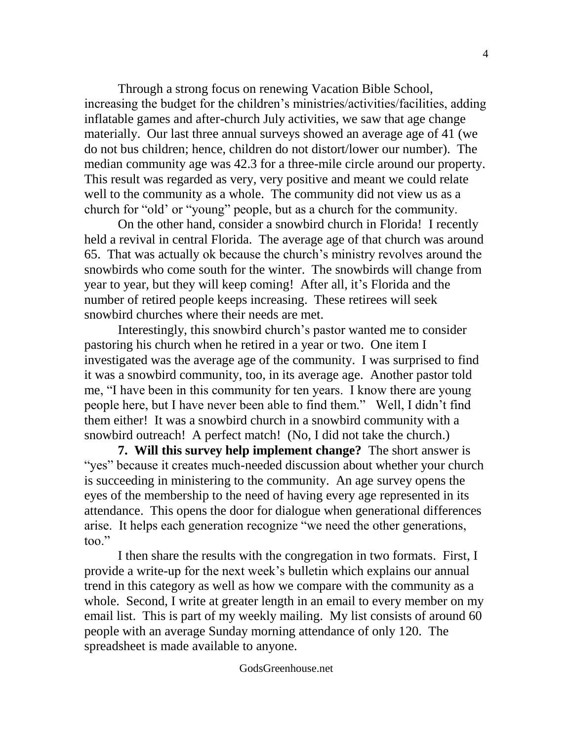Through a strong focus on renewing Vacation Bible School, increasing the budget for the children's ministries/activities/facilities, adding inflatable games and after-church July activities, we saw that age change materially. Our last three annual surveys showed an average age of 41 (we do not bus children; hence, children do not distort/lower our number). The median community age was 42.3 for a three-mile circle around our property. This result was regarded as very, very positive and meant we could relate well to the community as a whole. The community did not view us as a church for "old' or "young" people, but as a church for the community.

On the other hand, consider a snowbird church in Florida! I recently held a revival in central Florida. The average age of that church was around 65. That was actually ok because the church's ministry revolves around the snowbirds who come south for the winter. The snowbirds will change from year to year, but they will keep coming! After all, it's Florida and the number of retired people keeps increasing. These retirees will seek snowbird churches where their needs are met.

Interestingly, this snowbird church's pastor wanted me to consider pastoring his church when he retired in a year or two. One item I investigated was the average age of the community. I was surprised to find it was a snowbird community, too, in its average age. Another pastor told me, "I have been in this community for ten years. I know there are young people here, but I have never been able to find them." Well, I didn't find them either! It was a snowbird church in a snowbird community with a snowbird outreach! A perfect match! (No, I did not take the church.)

**7. Will this survey help implement change?** The short answer is "yes" because it creates much-needed discussion about whether your church is succeeding in ministering to the community. An age survey opens the eyes of the membership to the need of having every age represented in its attendance. This opens the door for dialogue when generational differences arise. It helps each generation recognize "we need the other generations, too."

I then share the results with the congregation in two formats. First, I provide a write-up for the next week's bulletin which explains our annual trend in this category as well as how we compare with the community as a whole. Second, I write at greater length in an email to every member on my email list. This is part of my weekly mailing. My list consists of around 60 people with an average Sunday morning attendance of only 120. The spreadsheet is made available to anyone.